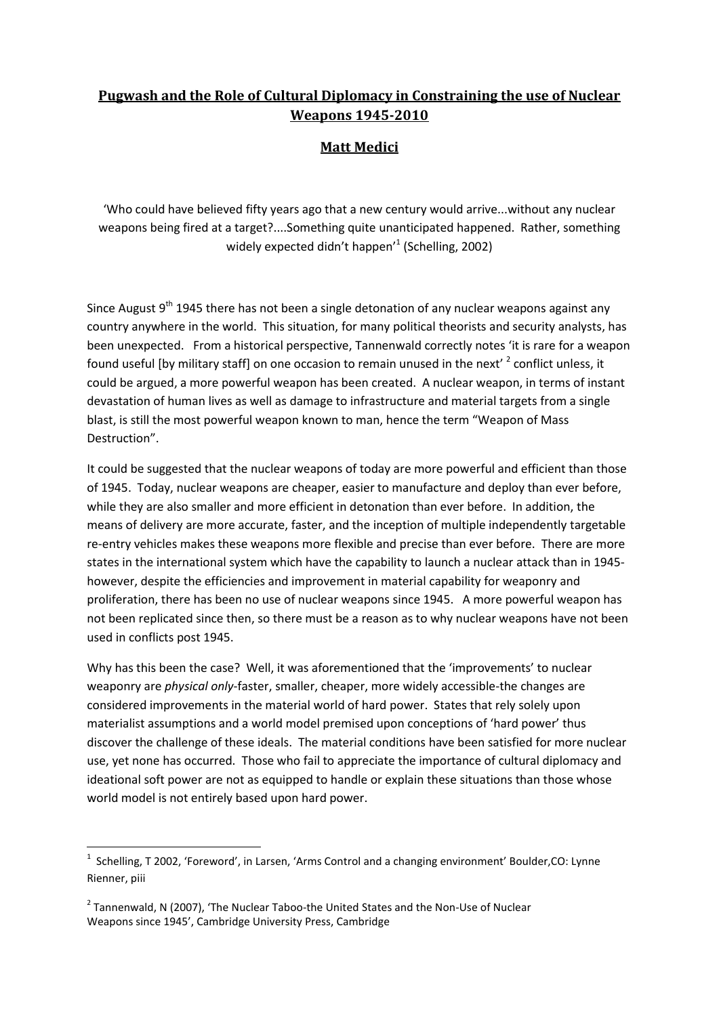## **Pugwash and the Role of Cultural Diplomacy in Constraining the use of Nuclear Weapons 1945-2010**

## **Matt Medici**

'Who could have believed fifty years ago that a new century would arrive...without any nuclear weapons being fired at a target?....Something quite unanticipated happened. Rather, something widely expected didn't happen'<sup>1</sup> (Schelling, 2002)

Since August  $9<sup>th</sup>$  1945 there has not been a single detonation of any nuclear weapons against any country anywhere in the world. This situation, for many political theorists and security analysts, has been unexpected. From a historical perspective, Tannenwald correctly notes 'it is rare for a weapon found useful [by military staff] on one occasion to remain unused in the next'  $^2$  conflict unless, it could be argued, a more powerful weapon has been created. A nuclear weapon, in terms of instant devastation of human lives as well as damage to infrastructure and material targets from a single blast, is still the most powerful weapon known to man, hence the term "Weapon of Mass Destruction".

It could be suggested that the nuclear weapons of today are more powerful and efficient than those of 1945. Today, nuclear weapons are cheaper, easier to manufacture and deploy than ever before, while they are also smaller and more efficient in detonation than ever before. In addition, the means of delivery are more accurate, faster, and the inception of multiple independently targetable re-entry vehicles makes these weapons more flexible and precise than ever before. There are more states in the international system which have the capability to launch a nuclear attack than in 1945 however, despite the efficiencies and improvement in material capability for weaponry and proliferation, there has been no use of nuclear weapons since 1945. A more powerful weapon has not been replicated since then, so there must be a reason as to why nuclear weapons have not been used in conflicts post 1945.

Why has this been the case? Well, it was aforementioned that the 'improvements' to nuclear weaponry are *physical only*-faster, smaller, cheaper, more widely accessible-the changes are considered improvements in the material world of hard power. States that rely solely upon materialist assumptions and a world model premised upon conceptions of 'hard power' thus discover the challenge of these ideals. The material conditions have been satisfied for more nuclear use, yet none has occurred. Those who fail to appreciate the importance of cultural diplomacy and ideational soft power are not as equipped to handle or explain these situations than those whose world model is not entirely based upon hard power.

**.** 

<sup>&</sup>lt;sup>1</sup> Schelling, T 2002, 'Foreword', in Larsen, 'Arms Control and a changing environment' Boulder, CO: Lynne Rienner, piii

<sup>&</sup>lt;sup>2</sup> Tannenwald, N (2007), 'The Nuclear Taboo-the United States and the Non-Use of Nuclear Weapons since 1945', Cambridge University Press, Cambridge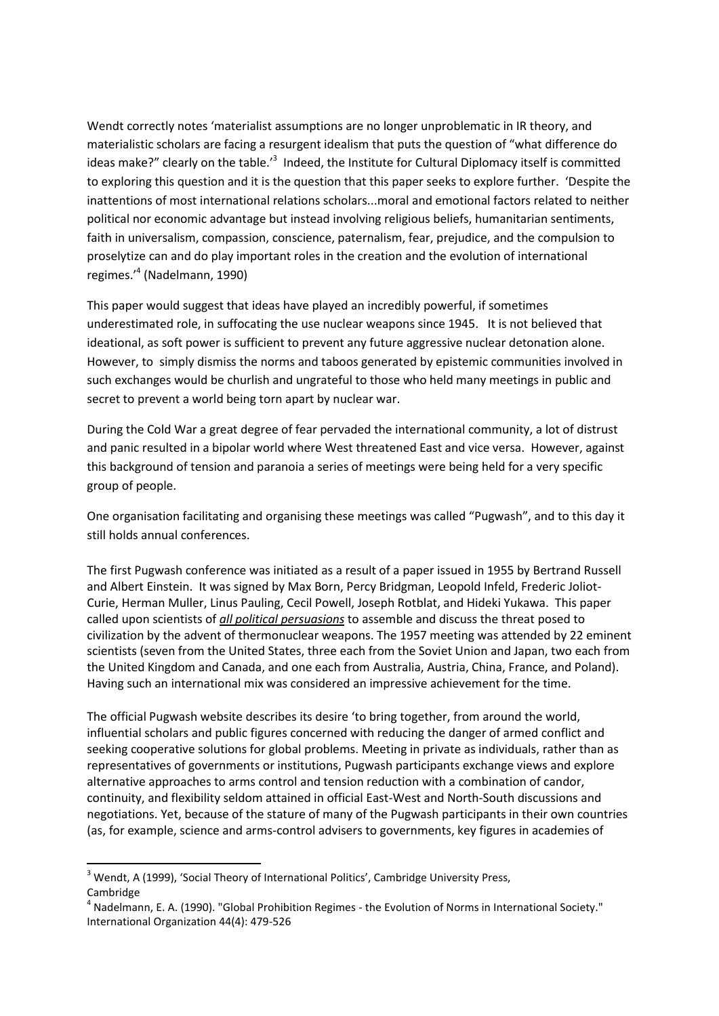Wendt correctly notes 'materialist assumptions are no longer unproblematic in IR theory, and materialistic scholars are facing a resurgent idealism that puts the question of "what difference do ideas make?" clearly on the table.<sup>3</sup> Indeed, the Institute for Cultural Diplomacy itself is committed to exploring this question and it is the question that this paper seeks to explore further. 'Despite the inattentions of most international relations scholars...moral and emotional factors related to neither political nor economic advantage but instead involving religious beliefs, humanitarian sentiments, faith in universalism, compassion, conscience, paternalism, fear, prejudice, and the compulsion to proselytize can and do play important roles in the creation and the evolution of international regimes.'<sup>4</sup> (Nadelmann, 1990)

This paper would suggest that ideas have played an incredibly powerful, if sometimes underestimated role, in suffocating the use nuclear weapons since 1945. It is not believed that ideational, as soft power is sufficient to prevent any future aggressive nuclear detonation alone. However, to simply dismiss the norms and taboos generated by epistemic communities involved in such exchanges would be churlish and ungrateful to those who held many meetings in public and secret to prevent a world being torn apart by nuclear war.

During the Cold War a great degree of fear pervaded the international community, a lot of distrust and panic resulted in a bipolar world where West threatened East and vice versa. However, against this background of tension and paranoia a series of meetings were being held for a very specific group of people.

One organisation facilitating and organising these meetings was called "Pugwash", and to this day it still holds annual conferences.

The first Pugwash conference was initiated as a result of a paper issued in 1955 by Bertrand Russell and Albert Einstein. It was signed by Max Born, Percy Bridgman, Leopold Infeld, Frederic Joliot-Curie, Herman Muller, Linus Pauling, Cecil Powell, Joseph Rotblat, and Hideki Yukawa. This paper called upon scientists of *all political persuasions* to assemble and discuss the threat posed to civilization by the advent of thermonuclear weapons. The 1957 meeting was attended by 22 eminent scientists (seven from the United States, three each from the Soviet Union and Japan, two each from the United Kingdom and Canada, and one each from Australia, Austria, China, France, and Poland). Having such an international mix was considered an impressive achievement for the time.

The official Pugwash website describes its desire 'to bring together, from around the world, influential scholars and public figures concerned with reducing the danger of armed conflict and seeking cooperative solutions for global problems. Meeting in private as individuals, rather than as representatives of governments or institutions, Pugwash participants exchange views and explore alternative approaches to arms control and tension reduction with a combination of candor, continuity, and flexibility seldom attained in official East-West and North-South discussions and negotiations. Yet, because of the stature of many of the Pugwash participants in their own countries (as, for example, science and arms-control advisers to governments, key figures in academies of

**.** 

<sup>&</sup>lt;sup>3</sup> Wendt, A (1999), 'Social Theory of International Politics', Cambridge University Press, Cambridge

<sup>4</sup> Nadelmann, E. A. (1990). "Global Prohibition Regimes - the Evolution of Norms in International Society." International Organization 44(4): 479-526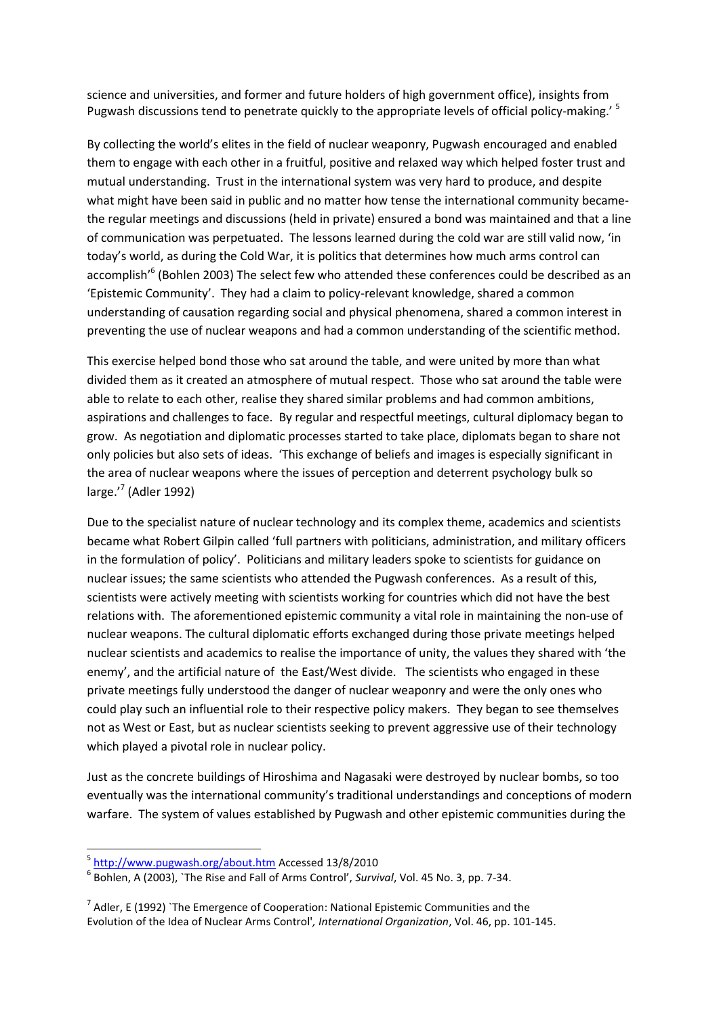science and universities, and former and future holders of high government office), insights from Pugwash discussions tend to penetrate quickly to the appropriate levels of official policy-making.' <sup>5</sup>

By collecting the world's elites in the field of nuclear weaponry, Pugwash encouraged and enabled them to engage with each other in a fruitful, positive and relaxed way which helped foster trust and mutual understanding. Trust in the international system was very hard to produce, and despite what might have been said in public and no matter how tense the international community becamethe regular meetings and discussions (held in private) ensured a bond was maintained and that a line of communication was perpetuated. The lessons learned during the cold war are still valid now, 'in today's world, as during the Cold War, it is politics that determines how much arms control can accomplish'<sup>6</sup> (Bohlen 2003) The select few who attended these conferences could be described as an 'Epistemic Community'. They had a claim to policy-relevant knowledge, shared a common understanding of causation regarding social and physical phenomena, shared a common interest in preventing the use of nuclear weapons and had a common understanding of the scientific method.

This exercise helped bond those who sat around the table, and were united by more than what divided them as it created an atmosphere of mutual respect. Those who sat around the table were able to relate to each other, realise they shared similar problems and had common ambitions, aspirations and challenges to face. By regular and respectful meetings, cultural diplomacy began to grow. As negotiation and diplomatic processes started to take place, diplomats began to share not only policies but also sets of ideas. 'This exchange of beliefs and images is especially significant in the area of nuclear weapons where the issues of perception and deterrent psychology bulk so large." (Adler 1992)

Due to the specialist nature of nuclear technology and its complex theme, academics and scientists became what Robert Gilpin called 'full partners with politicians, administration, and military officers in the formulation of policy'. Politicians and military leaders spoke to scientists for guidance on nuclear issues; the same scientists who attended the Pugwash conferences. As a result of this, scientists were actively meeting with scientists working for countries which did not have the best relations with. The aforementioned epistemic community a vital role in maintaining the non-use of nuclear weapons. The cultural diplomatic efforts exchanged during those private meetings helped nuclear scientists and academics to realise the importance of unity, the values they shared with 'the enemy', and the artificial nature of the East/West divide. The scientists who engaged in these private meetings fully understood the danger of nuclear weaponry and were the only ones who could play such an influential role to their respective policy makers. They began to see themselves not as West or East, but as nuclear scientists seeking to prevent aggressive use of their technology which played a pivotal role in nuclear policy.

Just as the concrete buildings of Hiroshima and Nagasaki were destroyed by nuclear bombs, so too eventually was the international community's traditional understandings and conceptions of modern warfare. The system of values established by Pugwash and other epistemic communities during the

 $\overline{a}$ 

<sup>&</sup>lt;sup>5</sup> <http://www.pugwash.org/about.htm> Accessed 13/8/2010

<sup>6</sup> Bohlen, A (2003), `The Rise and Fall of Arms Control', *Survival*, Vol. 45 No. 3, pp. 7-34.

 $^7$  Adler, E (1992) `The Emergence of Cooperation: National Epistemic Communities and the Evolution of the Idea of Nuclear Arms Control'*, International Organization*, Vol. 46, pp. 101‐145.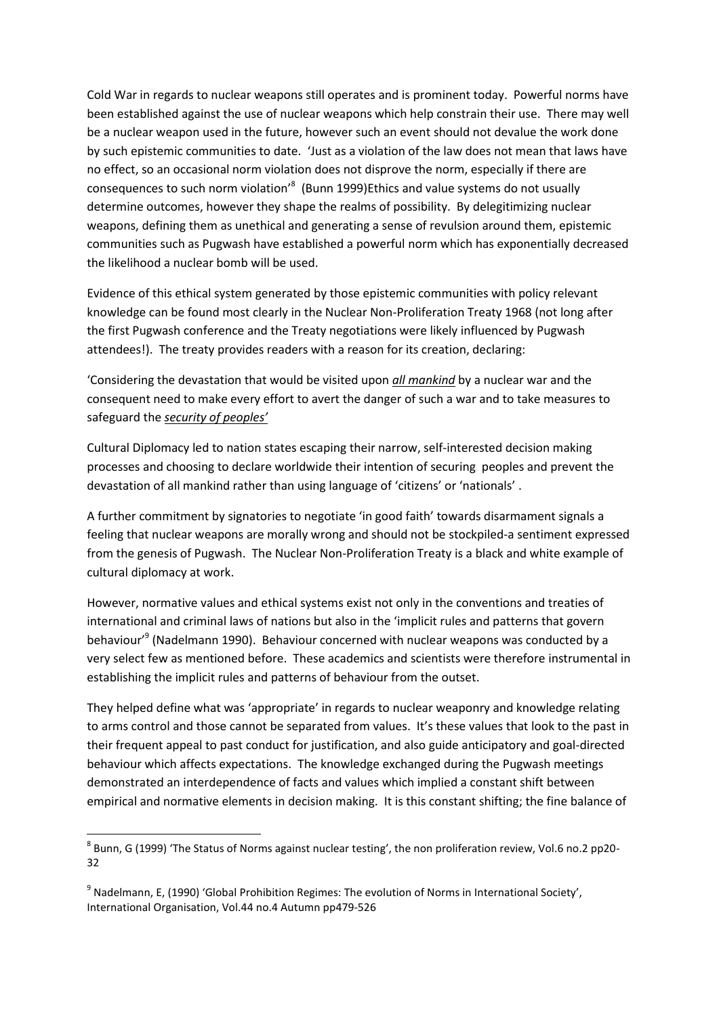Cold War in regards to nuclear weapons still operates and is prominent today. Powerful norms have been established against the use of nuclear weapons which help constrain their use. There may well be a nuclear weapon used in the future, however such an event should not devalue the work done by such epistemic communities to date. 'Just as a violation of the law does not mean that laws have no effect, so an occasional norm violation does not disprove the norm, especially if there are consequences to such norm violation<sup>,8</sup> (Bunn 1999)Ethics and value systems do not usually determine outcomes, however they shape the realms of possibility. By delegitimizing nuclear weapons, defining them as unethical and generating a sense of revulsion around them, epistemic communities such as Pugwash have established a powerful norm which has exponentially decreased the likelihood a nuclear bomb will be used.

Evidence of this ethical system generated by those epistemic communities with policy relevant knowledge can be found most clearly in the Nuclear Non-Proliferation Treaty 1968 (not long after the first Pugwash conference and the Treaty negotiations were likely influenced by Pugwash attendees!). The treaty provides readers with a reason for its creation, declaring:

'Considering the devastation that would be visited upon *all mankind* by a nuclear war and the consequent need to make every effort to avert the danger of such a war and to take measures to safeguard the *security of peoples'*

Cultural Diplomacy led to nation states escaping their narrow, self-interested decision making processes and choosing to declare worldwide their intention of securing peoples and prevent the devastation of all mankind rather than using language of 'citizens' or 'nationals' .

A further commitment by signatories to negotiate 'in good faith' towards disarmament signals a feeling that nuclear weapons are morally wrong and should not be stockpiled-a sentiment expressed from the genesis of Pugwash. The Nuclear Non-Proliferation Treaty is a black and white example of cultural diplomacy at work.

However, normative values and ethical systems exist not only in the conventions and treaties of international and criminal laws of nations but also in the 'implicit rules and patterns that govern behaviour<sup>,9</sup> (Nadelmann 1990). Behaviour concerned with nuclear weapons was conducted by a very select few as mentioned before. These academics and scientists were therefore instrumental in establishing the implicit rules and patterns of behaviour from the outset.

They helped define what was 'appropriate' in regards to nuclear weaponry and knowledge relating to arms control and those cannot be separated from values. It's these values that look to the past in their frequent appeal to past conduct for justification, and also guide anticipatory and goal-directed behaviour which affects expectations. The knowledge exchanged during the Pugwash meetings demonstrated an interdependence of facts and values which implied a constant shift between empirical and normative elements in decision making. It is this constant shifting; the fine balance of

**.** 

 $^8$  Bunn, G (1999) 'The Status of Norms against nuclear testing', the non proliferation review, Vol.6 no.2 pp20-32

<sup>&</sup>lt;sup>9</sup> Nadelmann, E, (1990) 'Global Prohibition Regimes: The evolution of Norms in International Society', International Organisation, Vol.44 no.4 Autumn pp479-526